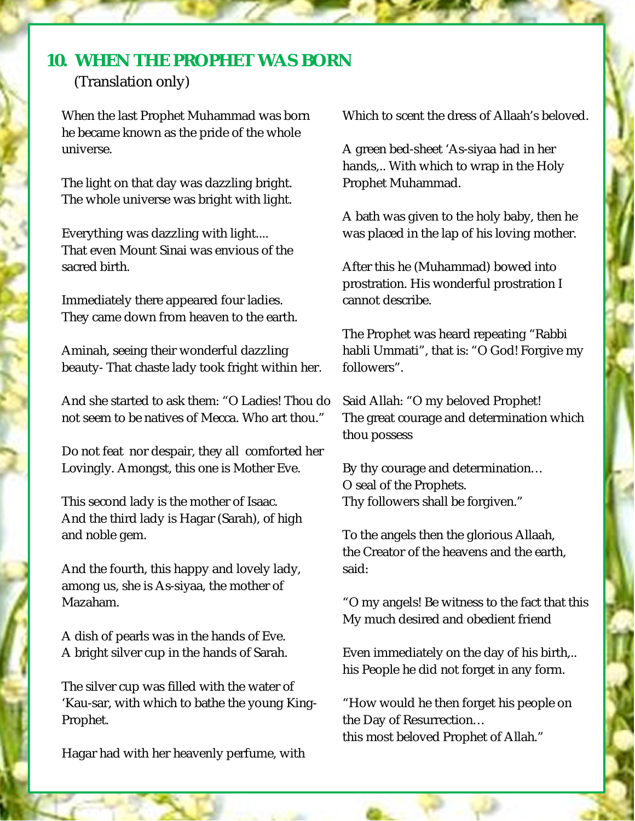## **10. WHEN THE PROPHET WAS BORN** (Translation only)

When the last Prophet Muhammad was born he became known as the pride of the whole universe.

The light on that day was dazzling bright. The whole universe was bright with light.

Everything was dazzling with light.... That even Mount Sinai was envious of the sacred birth.

Immediately there appeared four ladies. They came down from heaven to the earth.

Aminah, seeing their wonderful dazzling beauty- That chaste lady took fright within her.

And she started to ask them: "O Ladies! Thou do not seem to be natives of Mecca. Who art thou."

Do not feat nor despair, they all comforted her Lovingly. Amongst, this one is Mother Eve.

This second lady is the mother of Isaac. And the third lady is Hagar (Sarah), of high and noble gem.

And the fourth, this happy and lovely lady, among us, she is As-siyaa, the mother of Mazaham.

A dish of pearls was in the hands of Eve. A bright silver cup in the hands of Sarah.

The silver cup was filled with the water of 'Kau-sar, with which to bathe the young King-Prophet.

Hagar had with her heavenly perfume, with

Which to scent the dress of Allaah's beloved.

A green bed-sheet 'As-siyaa had in her hands,.. With which to wrap in the Holy Prophet Muhammad.

A bath was given to the holy baby, then he was placed in the lap of his loving mother.

After this he (Muhammad) bowed into prostration. His wonderful prostration I cannot describe.

The Prophet was heard repeating "Rabbi habli Ummati", that is: "O God! Forgive my followers".

Said Allah: "O my beloved Prophet! The great courage and determination which thou possess

By thy courage and determination… O seal of the Prophets. Thy followers shall be forgiven."

To the angels then the glorious Allaah, the Creator of the heavens and the earth, said:

"O my angels! Be witness to the fact that this My much desired and obedient friend

Even immediately on the day of his birth,.. his People he did not forget in any form.

"How would he then forget his people on the Day of Resurrection… this most beloved Prophet of Allah."